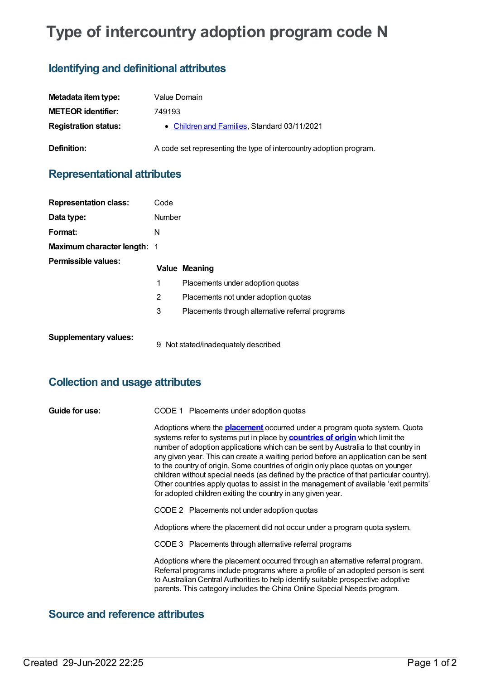# **Type of intercountry adoption program code N**

### **Identifying and definitional attributes**

| Metadata item type:         | Value Domain                                                       |
|-----------------------------|--------------------------------------------------------------------|
| <b>METEOR identifier:</b>   | 749193                                                             |
| <b>Registration status:</b> | • Children and Families, Standard 03/11/2021                       |
| Definition:                 | A code set representing the type of intercountry adoption program. |

#### **Representational attributes**

| <b>Representation class:</b>       | Code   |                                                  |
|------------------------------------|--------|--------------------------------------------------|
| Data type:                         | Number |                                                  |
| Format:                            | N      |                                                  |
| <b>Maximum character length: 1</b> |        |                                                  |
| Permissible values:                |        | <b>Value Meaning</b>                             |
|                                    | 1      | Placements under adoption quotas                 |
|                                    | 2      | Placements not under adoption quotas             |
|                                    | 3      | Placements through alternative referral programs |
| <b>Supplementary values:</b>       |        | .                                                |

9 Not stated/inadequately described

#### **Collection and usage attributes**

| <b>Guide for use:</b> | CODE 1 Placements under adoption quotas |
|-----------------------|-----------------------------------------|
|-----------------------|-----------------------------------------|

Adoptions where the **[placement](https://meteor.aihw.gov.au/content/749066)** occurred under a program quota system. Quota systems refer to systems put in place by **[countries](https://meteor.aihw.gov.au/content/749054) of origin** which limit the number of adoption applications which can be sent by Australia to that country in any given year. This can create a waiting period before an application can be sent to the country of origin. Some countries of origin only place quotas on younger children without special needs (as defined by the practice of that particular country). Other countries apply quotas to assist in the management of available 'exit permits' for adopted children exiting the country in any given year.

CODE 2 Placements not under adoption quotas

Adoptions where the placement did not occur under a program quota system.

CODE 3 Placements through alternative referral programs

Adoptions where the placement occurred through an alternative referral program. Referral programs include programs where a profile of an adopted person is sent to Australian Central Authorities to help identify suitable prospective adoptive parents. This category includes the China Online Special Needs program.

#### **Source and reference attributes**